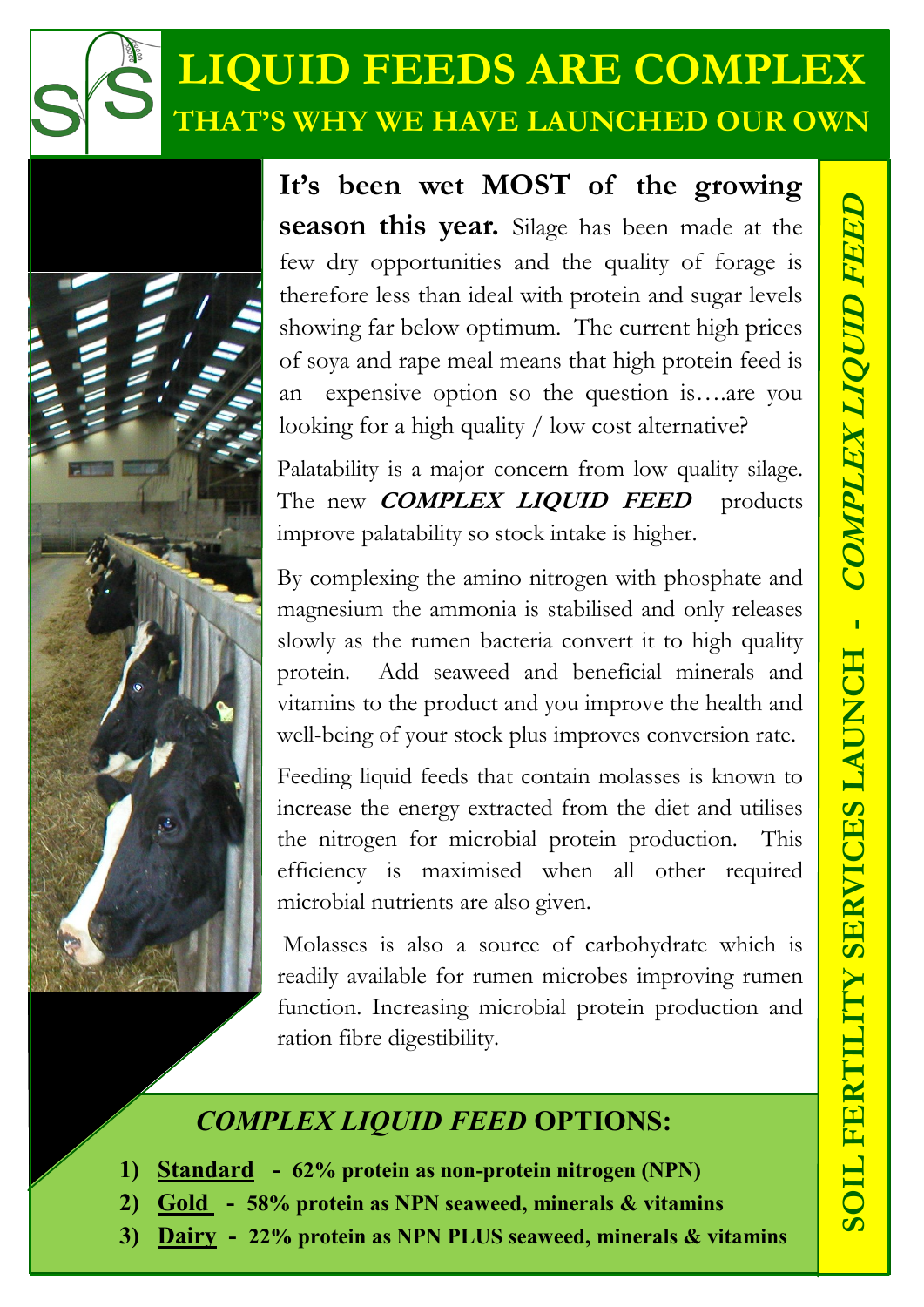## **LIQUID FEEDS ARE COMPLEX THAT'S WHY WE HAVE LAUNCHED OUR OWN**



**It's been wet MOST of the growing season this year.** Silage has been made at the few dry opportunities and the quality of forage is therefore less than ideal with protein and sugar levels showing far below optimum. The current high prices of soya and rape meal means that high protein feed is an expensive option so the question is….are you looking for a high quality / low cost alternative?

Palatability is a major concern from low quality silage. The new **COMPLEX LIQUID FEED** products improve palatability so stock intake is higher.

By complexing the amino nitrogen with phosphate and magnesium the ammonia is stabilised and only releases slowly as the rumen bacteria convert it to high quality protein. Add seaweed and beneficial minerals and vitamins to the product and you improve the health and well-being of your stock plus improves conversion rate.

Feeding liquid feeds that contain molasses is known to increase the energy extracted from the diet and utilises the nitrogen for microbial protein production. This efficiency is maximised when all other required microbial nutrients are also given.

Molasses is also a source of carbohydrate which is readily available for rumen microbes improving rumen function. Increasing microbial protein production and ration fibre digestibility.

## *COMPLEX LIQUID FEED* **OPTIONS:**

- **1) Standard - 62% protein as non-protein nitrogen (NPN)**
- **2) Gold - 58% protein as NPN seaweed, minerals & vitamins**
- **3) Dairy - 22% protein as NPN PLUS seaweed, minerals & vitamins**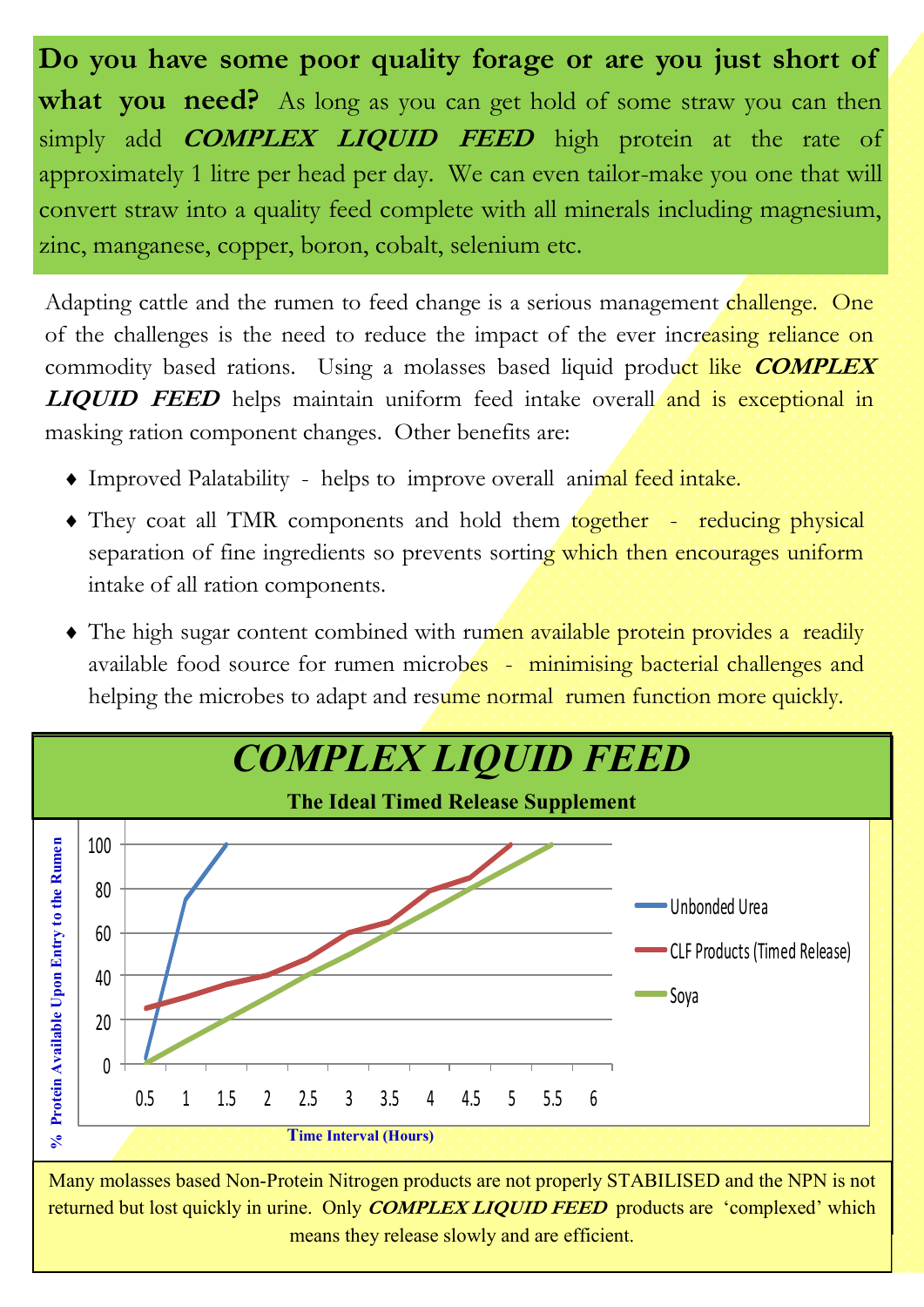**Do you have some poor quality forage or are you just short of what you need?** As long as you can get hold of some straw you can then simply add **COMPLEX LIQUID FEED** high protein at the rate of approximately 1 litre per head per day. We can even tailor-make you one that will convert straw into a quality feed complete with all minerals including magnesium, zinc, manganese, copper, boron, cobalt, selenium etc.

Adapting cattle and the rumen to feed change is a serious management challenge. One of the challenges is the need to reduce the impact of the ever increasing reliance on commodity based rations. Using a molasses based liquid product like **COMPLEX LIQUID FEED** helps maintain uniform feed intake overall and is exceptional in masking ration component changes. Other benefits are:

- Improved Palatability helps to improve overall animal feed intake.
- They coat all TMR components and hold them together reducing physical separation of fine ingredients so prevents sorting which then encourages uniform intake of all ration components.
- The high sugar content combined with rumen available protein provides a readily available food source for rumen microbes - minimising bacterial challenges and helping the microbes to adapt and resume normal rumen function more quickly.



Many molasses based Non-Protein Nitrogen products are not properly STABILISED and the NPN is not returned but lost quickly in urine. Only **COMPLEX LIQUID FEED** products are 'complexed' which means they release slowly and are efficient.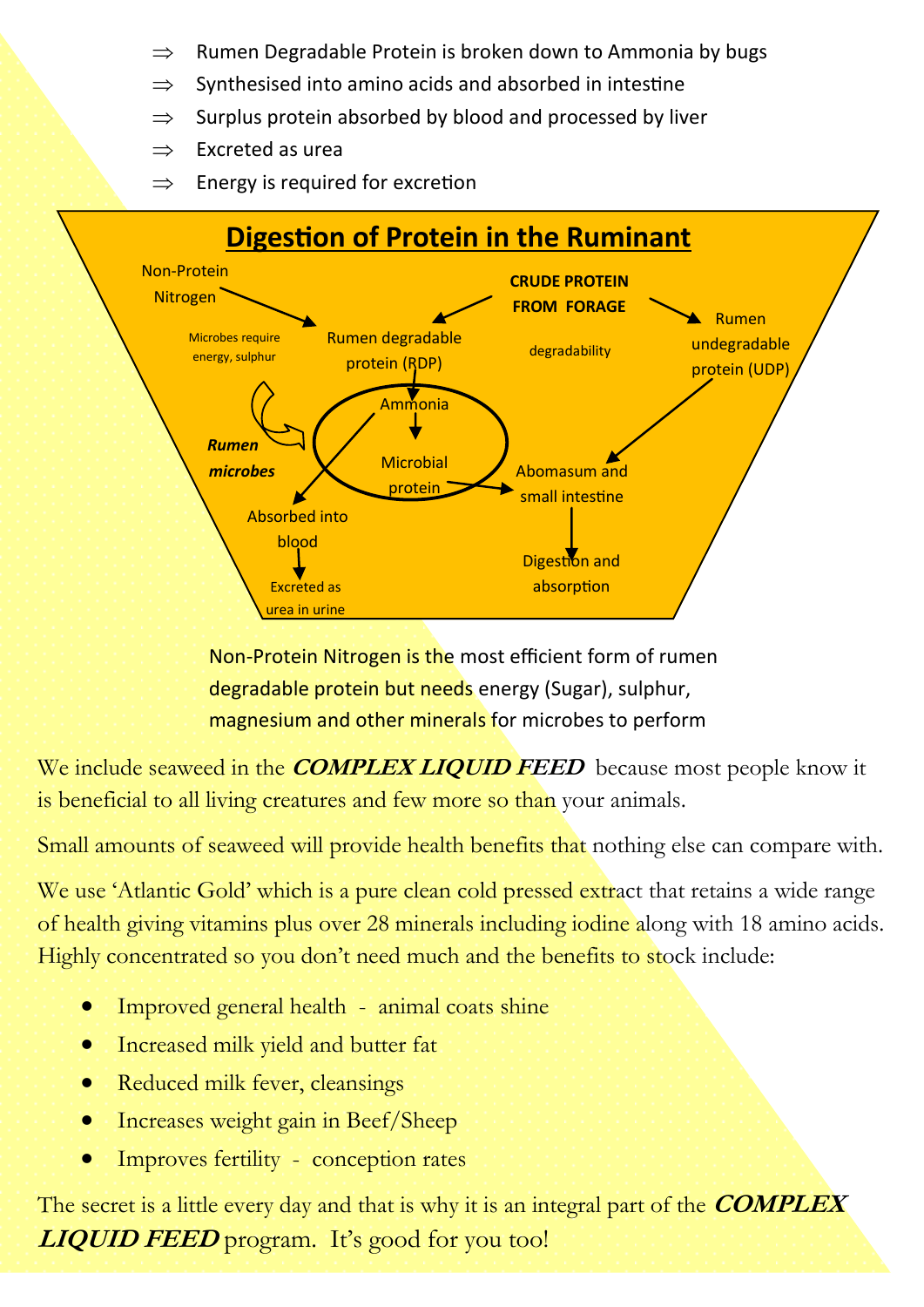- Rumen Degradable Protein is broken down to Ammonia by bugs
- $\Rightarrow$  Synthesised into amino acids and absorbed in intestine
- $\Rightarrow$  Surplus protein absorbed by blood and processed by liver
- $\Rightarrow$  Excreted as urea
- $\Rightarrow$  Energy is required for excretion



Non-Protein Nitrogen is the most efficient form of rumen degradable protein but needs energy (Sugar), sulphur, magnesium and other minerals for microbes to perform

We include seaweed in the **COMPLEX LIQUID FEED** because most people know it is beneficial to all living creatures and few more so than your animals.

Small amounts of seaweed will provide health benefits that nothing else can compare with.

We use 'Atlantic Gold' which is a pure clean cold pressed extract that retains a wide range of health giving vitamins plus over 28 minerals including iodine along with 18 amino acids. Highly concentrated so you don't need much and the benefits to stock include:

- Improved general health animal coats shine
- Increased milk yield and butter fat
- Reduced milk fever, cleansings
- Increases weight gain in Beef/Sheep
- Improves fertility conception rates

The secret is a little every day and that is why it is an integral part of the **COMPLEX LIQUID FEED** program. It's good for you too!